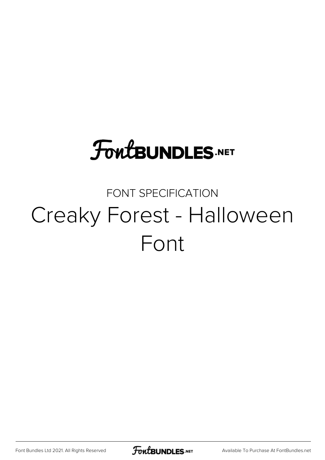### **FoutBUNDLES.NET**

#### FONT SPECIFICATION Creaky Forest - Halloween Font

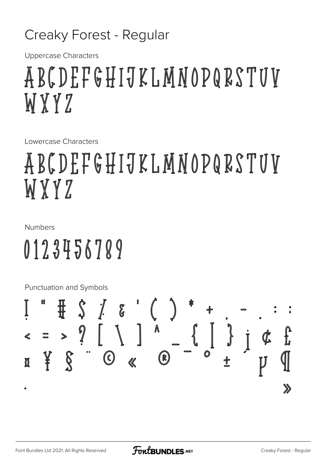#### Creaky Forest - Regular

**Uppercase Characters** 

### ABCDEFGHIJKLMNOPQRSTUV WXY7

Lowercase Characters

## ABCDEFGHIJKLMNOPQRSTUV WXYZ

#### **Numbers**

# 0123456789

Punctuation and Symbols

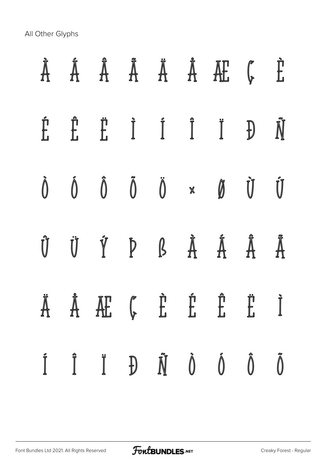All Other Glyphs